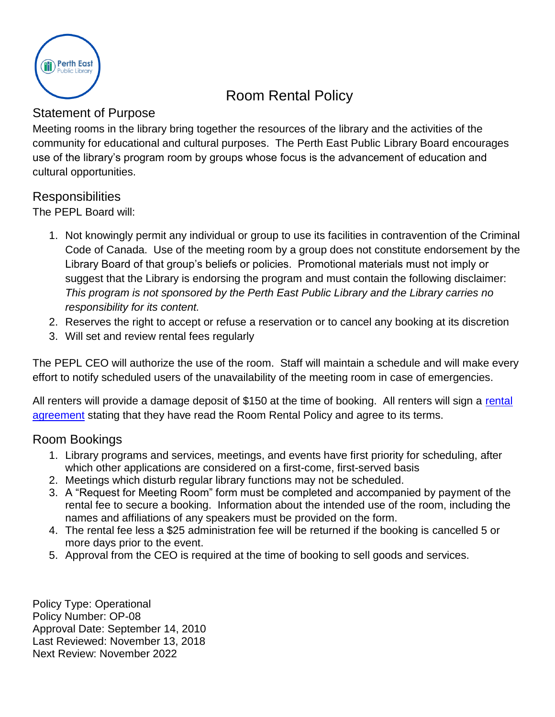

# Room Rental Policy

### Statement of Purpose

Meeting rooms in the library bring together the resources of the library and the activities of the community for educational and cultural purposes. The Perth East Public Library Board encourages use of the library's program room by groups whose focus is the advancement of education and cultural opportunities.

#### Responsibilities

The PEPL Board will:

- 1. Not knowingly permit any individual or group to use its facilities in contravention of the Criminal Code of Canada. Use of the meeting room by a group does not constitute endorsement by the Library Board of that group's beliefs or policies. Promotional materials must not imply or suggest that the Library is endorsing the program and must contain the following disclaimer: *This program is not sponsored by the Perth East Public Library and the Library carries no responsibility for its content.*
- 2. Reserves the right to accept or refuse a reservation or to cancel any booking at its discretion
- 3. Will set and review rental fees regularly

The PEPL CEO will authorize the use of the room. Staff will maintain a schedule and will make every effort to notify scheduled users of the unavailability of the meeting room in case of emergencies.

All renters will provide a damage deposit of \$150 at the time of booking. All renters will sign a rental [agreement](#page-4-0) stating that they have read the Room Rental Policy and agree to its terms.

#### Room Bookings

- 1. Library programs and services, meetings, and events have first priority for scheduling, after which other applications are considered on a first-come, first-served basis
- 2. Meetings which disturb regular library functions may not be scheduled.
- 3. A "Request for Meeting Room" form must be completed and accompanied by payment of the rental fee to secure a booking. Information about the intended use of the room, including the names and affiliations of any speakers must be provided on the form.
- 4. The rental fee less a \$25 administration fee will be returned if the booking is cancelled 5 or more days prior to the event.
- 5. Approval from the CEO is required at the time of booking to sell goods and services.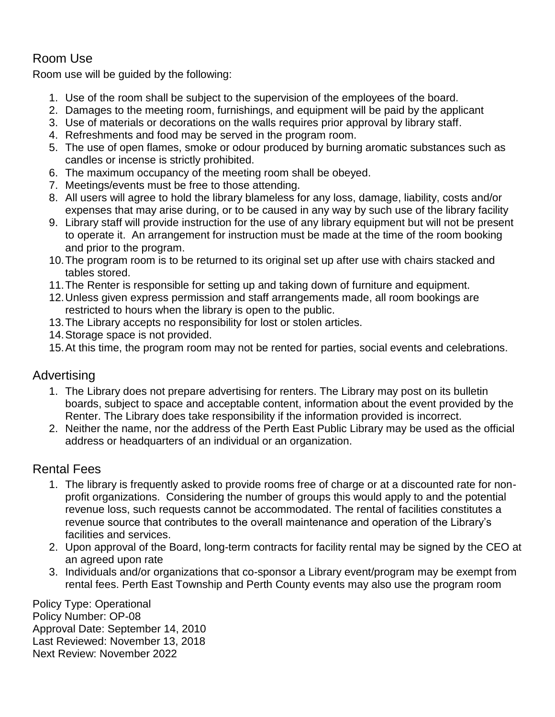## Room Use

Room use will be guided by the following:

- 1. Use of the room shall be subject to the supervision of the employees of the board.
- 2. Damages to the meeting room, furnishings, and equipment will be paid by the applicant
- 3. Use of materials or decorations on the walls requires prior approval by library staff.
- 4. Refreshments and food may be served in the program room.
- 5. The use of open flames, smoke or odour produced by burning aromatic substances such as candles or incense is strictly prohibited.
- 6. The maximum occupancy of the meeting room shall be obeyed.
- 7. Meetings/events must be free to those attending.
- 8. All users will agree to hold the library blameless for any loss, damage, liability, costs and/or expenses that may arise during, or to be caused in any way by such use of the library facility
- 9. Library staff will provide instruction for the use of any library equipment but will not be present to operate it. An arrangement for instruction must be made at the time of the room booking and prior to the program.
- 10.The program room is to be returned to its original set up after use with chairs stacked and tables stored.
- 11.The Renter is responsible for setting up and taking down of furniture and equipment.
- 12.Unless given express permission and staff arrangements made, all room bookings are restricted to hours when the library is open to the public.
- 13.The Library accepts no responsibility for lost or stolen articles.
- 14.Storage space is not provided.
- 15.At this time, the program room may not be rented for parties, social events and celebrations.

#### Advertising

- 1. The Library does not prepare advertising for renters. The Library may post on its bulletin boards, subject to space and acceptable content, information about the event provided by the Renter. The Library does take responsibility if the information provided is incorrect.
- 2. Neither the name, nor the address of the Perth East Public Library may be used as the official address or headquarters of an individual or an organization.

## Rental Fees

- 1. The library is frequently asked to provide rooms free of charge or at a discounted rate for nonprofit organizations. Considering the number of groups this would apply to and the potential revenue loss, such requests cannot be accommodated. The rental of facilities constitutes a revenue source that contributes to the overall maintenance and operation of the Library's facilities and services.
- 2. Upon approval of the Board, long-term contracts for facility rental may be signed by the CEO at an agreed upon rate
- 3. Individuals and/or organizations that co-sponsor a Library event/program may be exempt from rental fees. Perth East Township and Perth County events may also use the program room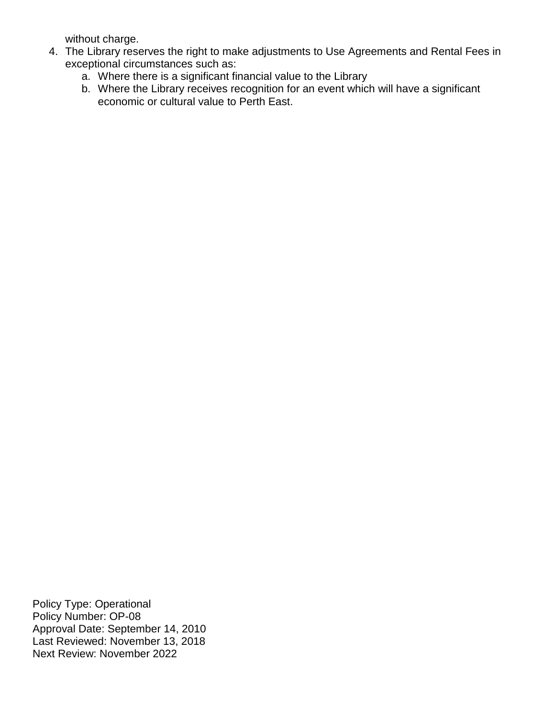without charge.

- 4. The Library reserves the right to make adjustments to Use Agreements and Rental Fees in exceptional circumstances such as:
	- a. Where there is a significant financial value to the Library
	- b. Where the Library receives recognition for an event which will have a significant economic or cultural value to Perth East.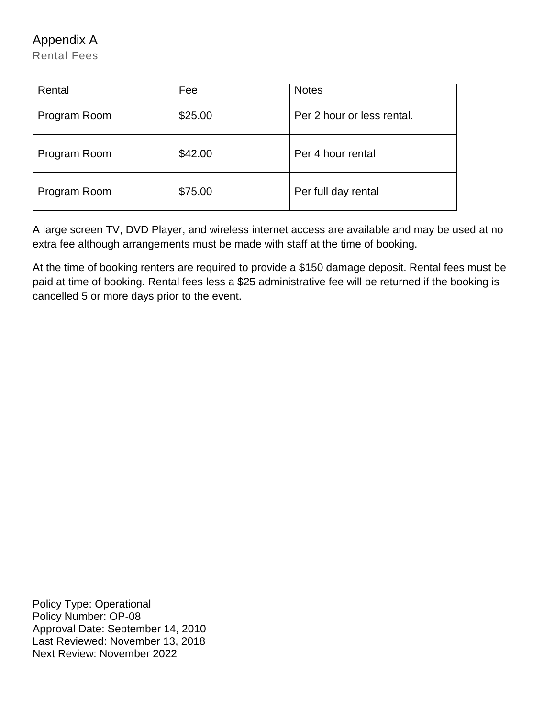Appendix A

Rental Fees

| Rental       | Fee     | <b>Notes</b>               |
|--------------|---------|----------------------------|
| Program Room | \$25.00 | Per 2 hour or less rental. |
| Program Room | \$42.00 | Per 4 hour rental          |
| Program Room | \$75.00 | Per full day rental        |

A large screen TV, DVD Player, and wireless internet access are available and may be used at no extra fee although arrangements must be made with staff at the time of booking.

At the time of booking renters are required to provide a \$150 damage deposit. Rental fees must be paid at time of booking. Rental fees less a \$25 administrative fee will be returned if the booking is cancelled 5 or more days prior to the event.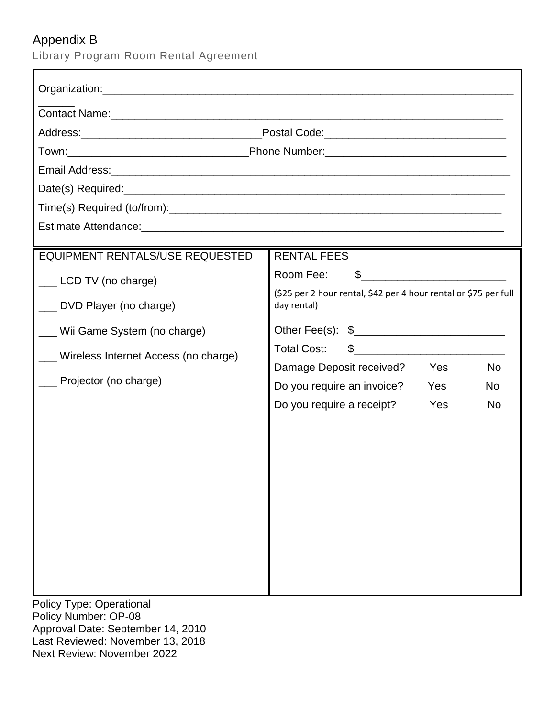## <span id="page-4-0"></span>Appendix B

Library Program Room Rental Agreement

| Contact Name: experience of the contract of the contract of the contract of the contract of the contract of the contract of the contract of the contract of the contract of the contract of the contract of the contract of th |                                                                                                                                                                                                                                                                                                                                                               |  |  |  |  |  |  |
|--------------------------------------------------------------------------------------------------------------------------------------------------------------------------------------------------------------------------------|---------------------------------------------------------------------------------------------------------------------------------------------------------------------------------------------------------------------------------------------------------------------------------------------------------------------------------------------------------------|--|--|--|--|--|--|
|                                                                                                                                                                                                                                |                                                                                                                                                                                                                                                                                                                                                               |  |  |  |  |  |  |
|                                                                                                                                                                                                                                |                                                                                                                                                                                                                                                                                                                                                               |  |  |  |  |  |  |
|                                                                                                                                                                                                                                |                                                                                                                                                                                                                                                                                                                                                               |  |  |  |  |  |  |
|                                                                                                                                                                                                                                |                                                                                                                                                                                                                                                                                                                                                               |  |  |  |  |  |  |
|                                                                                                                                                                                                                                |                                                                                                                                                                                                                                                                                                                                                               |  |  |  |  |  |  |
|                                                                                                                                                                                                                                |                                                                                                                                                                                                                                                                                                                                                               |  |  |  |  |  |  |
| <b>EQUIPMENT RENTALS/USE REQUESTED</b>                                                                                                                                                                                         | <b>RENTAL FEES</b>                                                                                                                                                                                                                                                                                                                                            |  |  |  |  |  |  |
| __ LCD TV (no charge)<br>__ DVD Player (no charge)                                                                                                                                                                             | Room Fee:<br>(\$25 per 2 hour rental, \$42 per 4 hour rental or \$75 per full<br>day rental)                                                                                                                                                                                                                                                                  |  |  |  |  |  |  |
| Wii Game System (no charge)<br>Wireless Internet Access (no charge)                                                                                                                                                            | Other Fee(s): \$<br><b>Total Cost:</b><br>$\frac{1}{2}$ $\frac{1}{2}$ $\frac{1}{2}$ $\frac{1}{2}$ $\frac{1}{2}$ $\frac{1}{2}$ $\frac{1}{2}$ $\frac{1}{2}$ $\frac{1}{2}$ $\frac{1}{2}$ $\frac{1}{2}$ $\frac{1}{2}$ $\frac{1}{2}$ $\frac{1}{2}$ $\frac{1}{2}$ $\frac{1}{2}$ $\frac{1}{2}$ $\frac{1}{2}$ $\frac{1}{2}$ $\frac{1}{2}$ $\frac{1}{2}$ $\frac{1}{2}$ |  |  |  |  |  |  |
| _ Projector (no charge)                                                                                                                                                                                                        | Damage Deposit received?<br><b>No</b><br><b>Yes</b>                                                                                                                                                                                                                                                                                                           |  |  |  |  |  |  |
|                                                                                                                                                                                                                                | Do you require an invoice?<br>Yes<br>No                                                                                                                                                                                                                                                                                                                       |  |  |  |  |  |  |
|                                                                                                                                                                                                                                | Do you require a receipt?<br>Yes<br><b>No</b>                                                                                                                                                                                                                                                                                                                 |  |  |  |  |  |  |
| <b>Policy Type: Operational</b><br>Policy Number: OP-08<br>Approval Date: September 14, 2010<br>Last Reviewed: November 13, 2018                                                                                               |                                                                                                                                                                                                                                                                                                                                                               |  |  |  |  |  |  |

Next Review: November 2022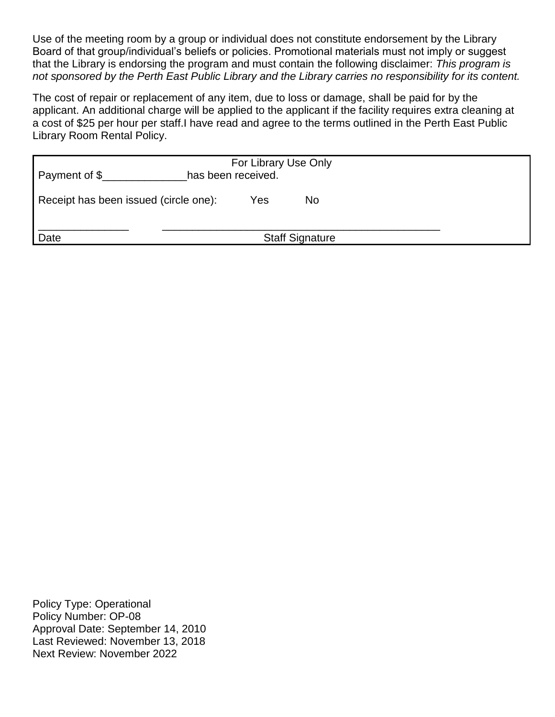Use of the meeting room by a group or individual does not constitute endorsement by the Library Board of that group/individual's beliefs or policies. Promotional materials must not imply or suggest that the Library is endorsing the program and must contain the following disclaimer: *This program is not sponsored by the Perth East Public Library and the Library carries no responsibility for its content.*

The cost of repair or replacement of any item, due to loss or damage, shall be paid for by the applicant. An additional charge will be applied to the applicant if the facility requires extra cleaning at a cost of \$25 per hour per staff.I have read and agree to the terms outlined in the Perth East Public Library Room Rental Policy.

| Payment of \$                         | For Library Use Only<br>has been received. |     |                        |  |  |  |  |
|---------------------------------------|--------------------------------------------|-----|------------------------|--|--|--|--|
| Receipt has been issued (circle one): |                                            | Yes | No                     |  |  |  |  |
| Date                                  |                                            |     | <b>Staff Signature</b> |  |  |  |  |